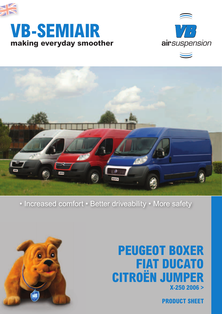

# **making everyday smoother VB-SEMIAIR**



 $\overline{\phantom{0}}$ 



### • Increased comfort • Better driveability • More safety



## **PEUGEOT BOXER FIAT DUCATO CITROËN JUMPER X-250 2006 >**

**PRODUCT SHEET**